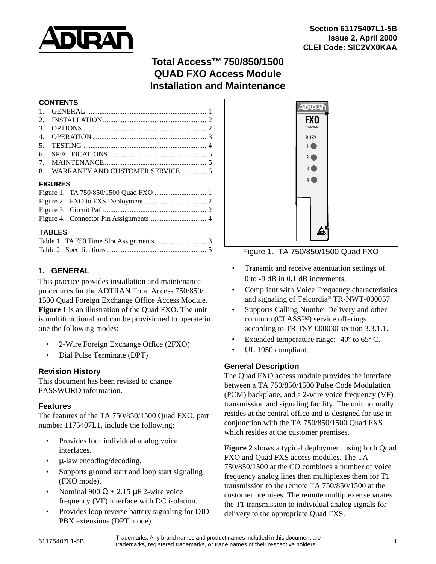

# **Total Access™750/850/1500 QUAD FXO Access Module Installation and Maintenance**

#### **CONTENTS**

| $\mathbf{1}$ .   |                |  |  |  |
|------------------|----------------|--|--|--|
| 2.               |                |  |  |  |
| 3.               |                |  |  |  |
| $\overline{4}$ . |                |  |  |  |
| .5.              |                |  |  |  |
| 6.               |                |  |  |  |
| 7.               |                |  |  |  |
| 8.               |                |  |  |  |
|                  | <b>FIGURES</b> |  |  |  |
|                  |                |  |  |  |
|                  |                |  |  |  |
|                  |                |  |  |  |
|                  |                |  |  |  |

### **TABLES**

# **1. GENERAL**

This practice provides installation and maintenance procedures for the ADTRAN Total Access 750/850/ 1500 Quad Foreign Exchange Office Access Module. **Figure 1** is an illustration of the Quad FXO. The unit is multifunctional and can be provisioned to operate in one the following modes:

- 2-Wire Foreign Exchange Office (2FXO)
- Dial Pulse Terminate (DPT)

### **Revision History**

This document has been revised to change PASSWORD information.

#### **Features**

The features of the TA 750/850/1500 Quad FXO, part number 1175407L1, include the following:

- Provides four individual analog voice interfaces.
- µ-law encoding/decoding.
- Supports ground start and loop start signaling (FXO mode).
- Nominal 900  $\Omega$  + 2.15  $\mu$ F 2-wire voice frequency (VF) interface with DC isolation.
- Provides loop reverse battery signaling for DID PBX extensions (DPT mode).



Figure 1. TA 750/850/1500 Quad FXO

- Transmit and receive attentuation settings of 0 to -9 dB in 0.1 dB increments.
- Compliant with Voice Frequency characteristics and signaling of Telcordia® TR-NWT-000057.
- Supports Calling Number Delivery and other common (CLASS™) service offerings according to TR TSY 000030 section 3.3.1.1.
- Extended temperature range: -40° to 65° C.
- UL 1950 compliant.

### **General Description**

The Quad FXO access module provides the interface between a TA 750/850/1500 Pulse Code Modulation (PCM) backplane, and a 2-wire voice frequency (VF) transmission and signaling facility. The unit normally resides at the central office and is designed for use in conjunction with the TA 750/850/1500 Quad FXS which resides at the customer premises.

**Figure 2** shows a typical deployment using both Quad FXO and Quad FXS access modules. The TA 750/850/1500 at the CO combines a number of voice frequency analog lines then multiplexes them for T1 transmission to the remote TA 750/850/1500 at the customer premises. The remote multiplexer separates the T1 transmission to individual analog signals for delivery to the appropriate Quad FXS.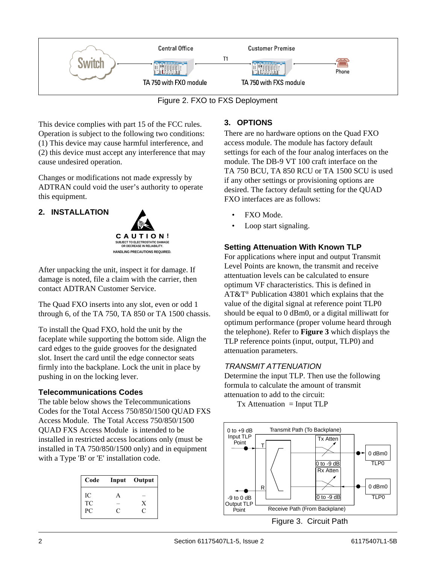<span id="page-1-0"></span>

Figure 2. FXO to FXS Deployment

This device complies with part 15 of the FCC rules. Operation is subject to the following two conditions: (1) This device may cause harmful interference, and (2) this device must accept any interference that may cause undesired operation.

Changes or modifications not made expressly by ADTRAN could void the user's authority to operate this equipment.

# **2. INSTALLATION**



After unpacking the unit, inspect it for damage. If damage is noted, file a claim with the carrier, then contact ADTRAN Customer Service.

The Quad FXO inserts into any slot, even or odd 1 through 6, of the TA 750, TA 850 or TA 1500 chassis.

To install the Quad FXO, hold the unit by the faceplate while supporting the bottom side. Align the card edges to the guide grooves for the designated slot. Insert the card until the edge connector seats firmly into the backplane. Lock the unit in place by pushing in on the locking lever.

### **Telecommunications Codes**

The table below shows the Telecommunications Codes for the Total Access 750/850/1500 QUAD FXS Access Module. The Total Access 750/850/1500 QUAD FXS Access Module is intended to be installed in restricted access locations only (must be installed in TA 750/850/1500 only) and in equipment with a Type 'B' or 'E' installation code.

|   | Input Output |  |
|---|--------------|--|
|   |              |  |
|   | X            |  |
| C | C            |  |
|   |              |  |

# **3. OPTIONS**

There are no hardware options on the Quad FXO access module. The module has factory default settings for each of the four analog interfaces on the module. The DB-9 VT 100 craft interface on the TA 750 BCU, TA 850 RCU or TA 1500 SCU is used if any other settings or provisioning options are desired. The factory default setting for the QUAD FXO interfaces are as follows:

- FXO Mode.
- Loop start signaling.

# **Setting Attenuation With Known TLP**

For applications where input and output Transmit Level Points are known, the transmit and receive attentuation levels can be calculated to ensure optimum VF characteristics. This is defined in AT&T® Publication 43801 which explains that the value of the digital signal at reference point TLP0 should be equal to 0 dBm0, or a digital milliwatt for optimum performance (proper volume heard through the telephone). Refer to **Figure 3** which displays the TLP reference points (input, output, TLP0) and attenuation parameters.

### TRANSMIT ATTENUATION

Determine the input TLP. Then use the following formula to calculate the amount of transmit attenuation to add to the circuit:

 $Tx$  Attenuation = Input TLP



Figure 3. Circuit Path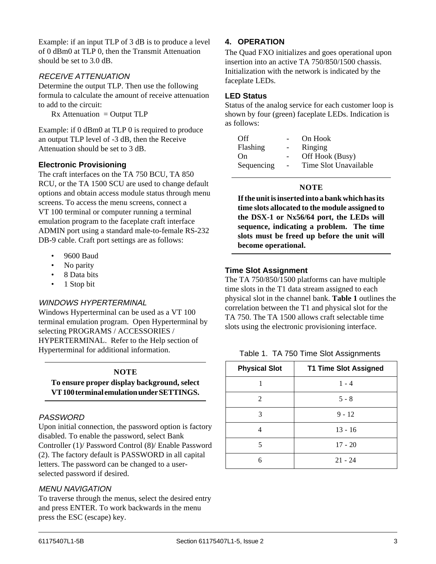<span id="page-2-0"></span>Example: if an input TLP of 3 dB is to produce a level of 0 dBm0 at TLP 0, then the Transmit Attenuation should be set to 3.0 dB.

### RECEIVE ATTENUATION

Determine the output TLP. Then use the following formula to calculate the amount of receive attenuation to add to the circuit:

 $Rx$  Attenuation = Output TLP

Example: if 0 dBm0 at TLP 0 is required to produce an output TLP level of -3 dB, then the Receive Attenuation should be set to 3 dB.

#### **Electronic Provisioning**

The craft interfaces on the TA 750 BCU, TA 850 RCU, or the TA 1500 SCU are used to change default options and obtain access module status through menu screens. To access the menu screens, connect a VT 100 terminal or computer running a terminal emulation program to the faceplate craft interface ADMIN port using a standard male-to-female RS-232 DB-9 cable. Craft port settings are as follows:

- 9600 Baud
- No parity
- 8 Data bits
- 1 Stop bit

#### WINDOWS HYPERTERMINAL

Windows Hyperterminal can be used as a VT 100 terminal emulation program. Open Hyperterminal by selecting PROGRAMS / ACCESSORIES / HYPERTERMINAL. Refer to the Help section of Hyperterminal for additional information.

#### **NOTE**

**To ensure proper display background, select VT 100 terminal emulation under SETTINGS.**

#### PASSWORD

Upon initial connection, the password option is factory disabled. To enable the password, select Bank Controller (1)/ Password Control (8)/ Enable Password (2). The factory default is PASSWORD in all capital letters. The password can be changed to a userselected password if desired.

#### MENU NAVIGATION

To traverse through the menus, select the desired entry and press ENTER. To work backwards in the menu press the ESC (escape) key.

#### **4. OPERATION**

The Quad FXO initializes and goes operational upon insertion into an active TA 750/850/1500 chassis. Initialization with the network is indicated by the faceplate LEDs.

#### **LED Status**

Status of the analog service for each customer loop is shown by four (green) faceplate LEDs. Indication is as follows:

| Off        |                | On Hook               |
|------------|----------------|-----------------------|
| Flashing   |                | Ringing               |
| (n)        |                | Off Hook (Busy)       |
| Sequencing | $\overline{a}$ | Time Slot Unavailable |

#### **NOTE**

**If the unit is inserted into a bank which has its time slots allocated to the module assigned to the DSX-1 or Nx56/64 port, the LEDs will sequence, indicating a problem. The time slots must be freed up before the unit will become operational.**

#### **Time Slot Assignment**

The TA 750/850/1500 platforms can have multiple time slots in the T1 data stream assigned to each physical slot in the channel bank. **Table 1** outlines the correlation between the T1 and physical slot for the TA 750. The TA 1500 allows craft selectable time slots using the electronic provisioning interface.

Table 1. TA 750 Time Slot Assignments

| <b>Physical Slot</b> | <b>T1 Time Slot Assigned</b> |
|----------------------|------------------------------|
|                      | $1 - 4$                      |
| 2                    | $5 - 8$                      |
| 3                    | $9 - 12$                     |
|                      | $13 - 16$                    |
| 5                    | $17 - 20$                    |
|                      | $21 - 24$                    |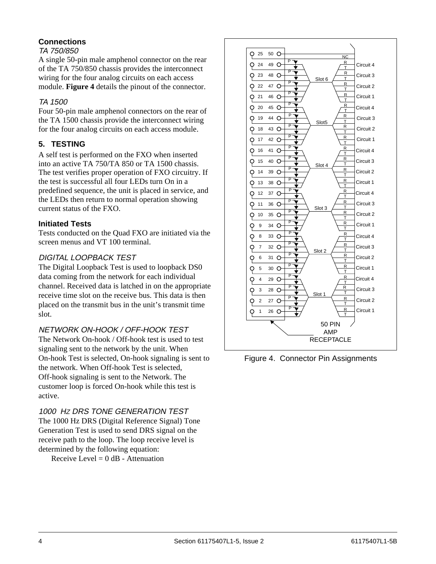# **Connections**

#### TA 750/850

A single 50-pin male amphenol connector on the rear of the TA 750/850 chassis provides the interconnect wiring for the four analog circuits on each access module. **Figure 4** details the pinout of the connector.

### TA 1500

Four 50-pin male amphenol connectors on the rear of the TA 1500 chassis provide the interconnect wiring for the four analog circuits on each access module.

### **5. TESTING**

A self test is performed on the FXO when inserted into an active TA 750/TA 850 or TA 1500 chassis. The test verifies proper operation of FXO circuitry. If the test is successful all four LEDs turn On in a predefined sequence, the unit is placed in service, and the LEDs then return to normal operation showing current status of the FXO.

### **Initiated Tests**

Tests conducted on the Quad FXO are initiated via the screen menus and VT 100 terminal.

### DIGITAL LOOPBACK TEST

The Digital Loopback Test is used to loopback DS0 data coming from the network for each individual channel. Received data is latched in on the appropriate receive time slot on the receive bus. This data is then placed on the transmit bus in the unit's transmit time slot.

### NETWORK ON-HOOK / OFF-HOOK TEST

The Network On-hook / Off-hook test is used to test signaling sent to the network by the unit. When On-hook Test is selected, On-hook signaling is sent to the network. When Off-hook Test is selected, Off-hook signaling is sent to the Network. The customer loop is forced On-hook while this test is active.

### 1000 Hz DRS TONE GENERATION TEST

The 1000 Hz DRS (Digital Reference Signal) Tone Generation Test is used to send DRS signal on the receive path to the loop. The loop receive level is determined by the following equation:

Receive Level =  $0$  dB - Attenuation



Figure 4. Connector Pin Assignments